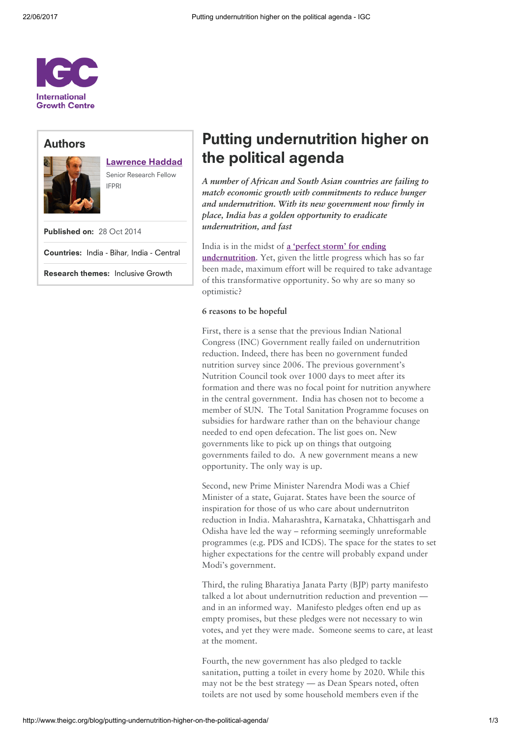

# Authors



# [Lawrence](http://www.theigc.org/person/lawrence-haddad/) Haddad

Senior Research Fellow IFPRI

Published on: 28 Oct 2014

Countries: India - [Bihar](http://www.theigc.org/search/?hidden-s&select-country-cat%5B0%5D=india-bihar), India - [Central](http://www.theigc.org/search/?hidden-s&select-country-cat%5B0%5D=india-central)

Research themes: [Inclusive](http://www.theigc.org/search/?hidden-s&select-research-themes%5B0%5D=inclusive-growth) Growth

# Putting undernutrition higher on the political agenda

A number of African and South Asian countries are failing to match economic growth with commitments to reduce hunger and undernutrition. With its new government now firmly in place, India has a golden opportunity to eradicate undernutrition, and fast

## India is in the midst of a 'perfect storm' for ending

[undernutrition.](http://www.theigc.org/blog/a-perfect-storm-for-ending-undernutrition/) Yet, given the little progress which has so far been made, maximum effort will be required to take advantage of this transformative opportunity. So why are so many so optimistic?

## 6 reasons to be hopeful

First, there is a sense that the previous Indian National Congress (INC) Government really failed on undernutrition reduction. Indeed, there has been no government funded nutrition survey since 2006. The previous government's Nutrition Council took over 1000 days to meet after its formation and there was no focal point for nutrition anywhere in the central government. India has chosen not to become a member of SUN. The Total Sanitation Programme focuses on subsidies for hardware rather than on the behaviour change needed to end open defecation. The list goes on. New governments like to pick up on things that outgoing governments failed to do. A new government means a new opportunity. The only way is up.

Second, new Prime Minister Narendra Modi was a Chief Minister of a state, Gujarat. States have been the source of inspiration for those of us who care about undernutriton reduction in India. Maharashtra, Karnataka, Chhattisgarh and Odisha have led the way – reforming seemingly unreformable programmes (e.g. PDS and ICDS). The space for the states to set higher expectations for the centre will probably expand under Modi's government.

Third, the ruling Bharatiya Janata Party (BJP) party manifesto talked a lot about undernutrition reduction and prevention and in an informed way. Manifesto pledges often end up as empty promises, but these pledges were not necessary to win votes, and yet they were made. Someone seems to care, at least at the moment.

Fourth, the new government has also pledged to tackle sanitation, putting a toilet in every home by 2020. While this may not be the best strategy — as Dean Spears noted, often toilets are not used by some household members even if the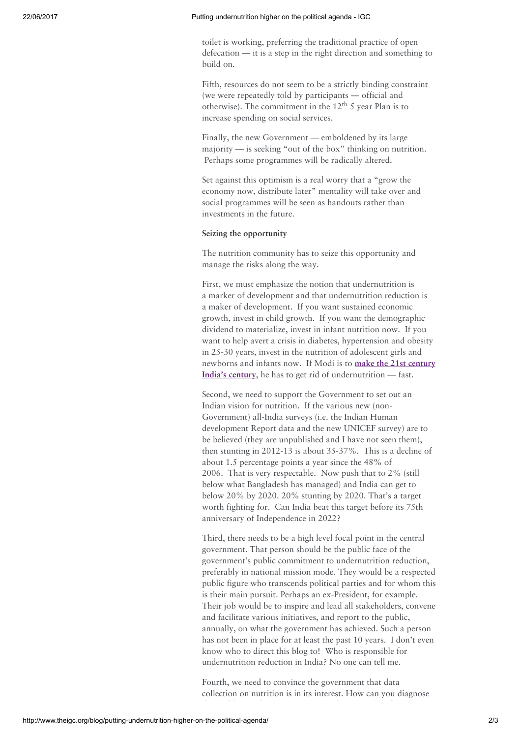#### 22/06/2017 Putting undernutrition higher on the political agenda - IGC

toilet is working, preferring the traditional practice of open defecation — it is a step in the right direction and something to build on.

Fifth, resources do not seem to be a strictly binding constraint (we were repeatedly told by participants — official and otherwise). The commitment in the  $12^{\text{th}}$  5 year Plan is to increase spending on social services.

Finally, the new Government — emboldened by its large majority — is seeking "out of the box" thinking on nutrition. Perhaps some programmes will be radically altered.

Set against this optimism is a real worry that a "grow the economy now, distribute later" mentality will take over and social programmes will be seen as handouts rather than investments in the future.

#### Seizing the opportunity

The nutrition community has to seize this opportunity and manage the risks along the way.

First, we must emphasize the notion that undernutrition is a marker of development and that undernutrition reduction is a maker of development. If you want sustained economic growth, invest in child growth. If you want the demographic dividend to materialize, invest in infant nutrition now. If you want to help avert a crisis in diabetes, hypertension and obesity in 25-30 years, invest in the nutrition of adolescent girls and newborns and infants now. If Modi is to make the 21st century India's century, he has to get rid of [undernutrition](http://www.theguardian.com/world/2014/may/17/narendra-modi-india-election-hindu) — fast.

Second, we need to support the Government to set out an Indian vision for nutrition. If the various new (non-Government) all-India surveys (i.e. the Indian Human development Report data and the new UNICEF survey) are to be believed (they are unpublished and I have not seen them), then stunting in 2012-13 is about 35-37%. This is a decline of about 1.5 percentage points a year since the 48% of 2006. That is very respectable. Now push that to 2% (still below what Bangladesh has managed) and India can get to below 20% by 2020. 20% stunting by 2020. That's a target worth fighting for. Can India beat this target before its 75th anniversary of Independence in 2022?

Third, there needs to be a high level focal point in the central government. That person should be the public face of the government's public commitment to undernutrition reduction, preferably in national mission mode. They would be a respected public figure who transcends political parties and for whom this is their main pursuit. Perhaps an ex-President, for example. Their job would be to inspire and lead all stakeholders, convene and facilitate various initiatives, and report to the public, annually, on what the government has achieved. Such a person has not been in place for at least the past 10 years. I don't even know who to direct this blog to! Who is responsible for undernutrition reduction in India? No one can tell me.

Fourth, we need to convince the government that data collection on nutrition is in its interest. How can you diagnose